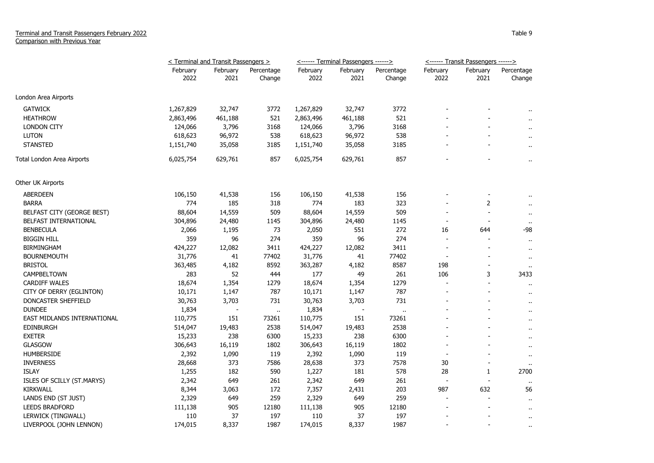|                             | < Terminal and Transit Passengers > |                  |                      |                  | <------ Terminal Passengers ------> |                      | <------ Transit Passengers ------> |                          |                      |
|-----------------------------|-------------------------------------|------------------|----------------------|------------------|-------------------------------------|----------------------|------------------------------------|--------------------------|----------------------|
|                             | February<br>2022                    | February<br>2021 | Percentage<br>Change | February<br>2022 | February<br>2021                    | Percentage<br>Change | February<br>2022                   | February<br>2021         | Percentage<br>Change |
| London Area Airports        |                                     |                  |                      |                  |                                     |                      |                                    |                          |                      |
| <b>GATWICK</b>              | 1,267,829                           | 32,747           | 3772                 | 1,267,829        | 32,747                              | 3772                 |                                    |                          |                      |
| <b>HEATHROW</b>             | 2,863,496                           | 461,188          | 521                  | 2,863,496        | 461,188                             | 521                  |                                    |                          | $\ddot{\phantom{1}}$ |
| <b>LONDON CITY</b>          | 124,066                             | 3,796            | 3168                 | 124,066          | 3,796                               | 3168                 |                                    |                          | $\ddot{\phantom{a}}$ |
| <b>LUTON</b>                | 618,623                             | 96,972           | 538                  | 618,623          | 96,972                              | 538                  |                                    |                          | $\mathbf{H}$         |
| <b>STANSTED</b>             | 1,151,740                           | 35,058           | 3185                 | 1,151,740        | 35,058                              | 3185                 |                                    |                          | $\sim$               |
| Total London Area Airports  | 6,025,754                           | 629,761          | 857                  | 6,025,754        | 629,761                             | 857                  |                                    |                          | $\alpha$             |
| Other UK Airports           |                                     |                  |                      |                  |                                     |                      |                                    |                          |                      |
| <b>ABERDEEN</b>             | 106,150                             | 41,538           | 156                  | 106,150          | 41,538                              | 156                  |                                    |                          |                      |
| <b>BARRA</b>                | 774                                 | 185              | 318                  | 774              | 183                                 | 323                  |                                    | 2                        | $\alpha$             |
| BELFAST CITY (GEORGE BEST)  | 88,604                              | 14,559           | 509                  | 88,604           | 14,559                              | 509                  |                                    |                          | $\ddot{\phantom{1}}$ |
| BELFAST INTERNATIONAL       | 304,896                             | 24,480           | 1145                 | 304,896          | 24,480                              | 1145                 | $\overline{\phantom{a}}$           | $\blacksquare$           |                      |
| <b>BENBECULA</b>            | 2,066                               | 1,195            | 73                   | 2,050            | 551                                 | 272                  | 16                                 | 644                      | -98                  |
| <b>BIGGIN HILL</b>          | 359                                 | 96               | 274                  | 359              | 96                                  | 274                  |                                    |                          | $\bullet$            |
| <b>BIRMINGHAM</b>           | 424,227                             | 12,082           | 3411                 | 424,227          | 12,082                              | 3411                 |                                    |                          | $\bullet$            |
| <b>BOURNEMOUTH</b>          | 31,776                              | 41               | 77402                | 31,776           | 41                                  | 77402                | $\overline{\phantom{a}}$           |                          | $\sim$               |
| <b>BRISTOL</b>              | 363,485                             | 4,182            | 8592                 | 363,287          | 4,182                               | 8587                 | 198                                | $\overline{a}$           |                      |
| CAMPBELTOWN                 | 283                                 | 52               | 444                  | 177              | 49                                  | 261                  | 106                                | 3                        | 3433                 |
| <b>CARDIFF WALES</b>        | 18,674                              | 1,354            | 1279                 | 18,674           | 1,354                               | 1279                 |                                    | $\overline{a}$           |                      |
| CITY OF DERRY (EGLINTON)    | 10,171                              | 1,147            | 787                  | 10,171           | 1,147                               | 787                  |                                    |                          | $\ddot{\phantom{1}}$ |
| DONCASTER SHEFFIELD         | 30,763                              | 3,703            | 731                  | 30,763           | 3,703                               | 731                  |                                    |                          | $\alpha$             |
| <b>DUNDEE</b>               | 1,834                               |                  | $\alpha$             | 1,834            |                                     | $\ddot{\phantom{1}}$ |                                    |                          | $\cdots$             |
| EAST MIDLANDS INTERNATIONAL | 110,775                             | 151              | 73261                | 110,775          | 151                                 | 73261                |                                    |                          | $\ddot{\phantom{a}}$ |
| <b>EDINBURGH</b>            | 514,047                             | 19,483           | 2538                 | 514,047          | 19,483                              | 2538                 |                                    |                          |                      |
| <b>EXETER</b>               | 15,233                              | 238              | 6300                 | 15,233           | 238                                 | 6300                 |                                    |                          | $\cdot$              |
| <b>GLASGOW</b>              | 306,643                             | 16,119           | 1802                 | 306,643          | 16,119                              | 1802                 | $\overline{\phantom{a}}$           |                          | $\alpha$             |
| <b>HUMBERSIDE</b>           | 2,392                               | 1,090            | 119                  | 2,392            | 1,090                               | 119                  |                                    |                          | $\bullet$            |
| <b>INVERNESS</b>            | 28,668                              | 373              | 7586                 | 28,638           | 373                                 | 7578                 | 30                                 | $\overline{\phantom{a}}$ | $\ddot{\phantom{1}}$ |
| <b>ISLAY</b>                | 1,255                               | 182              | 590                  | 1,227            | 181                                 | 578                  | 28                                 | 1                        | 2700                 |
| ISLES OF SCILLY (ST.MARYS)  | 2,342                               | 649              | 261                  | 2,342            | 649                                 | 261                  | $\overline{\phantom{a}}$           |                          |                      |
| <b>KIRKWALL</b>             | 8,344                               | 3,063            | 172                  | 7,357            | 2,431                               | 203                  | 987                                | 632                      | 56                   |
| LANDS END (ST JUST)         | 2,329                               | 649              | 259                  | 2,329            | 649                                 | 259                  | $\overline{\phantom{a}}$           | ÷                        | $\mathbf{u}$         |
| <b>LEEDS BRADFORD</b>       | 111,138                             | 905              | 12180                | 111,138          | 905                                 | 12180                |                                    |                          | $\ddot{\phantom{1}}$ |
| LERWICK (TINGWALL)          | 110                                 | 37               | 197                  | 110              | 37                                  | 197                  |                                    |                          | $\cdots$             |
| LIVERPOOL (JOHN LENNON)     | 174,015                             | 8,337            | 1987                 | 174,015          | 8,337                               | 1987                 | $\overline{a}$                     | $\overline{a}$           | $\cdots$             |